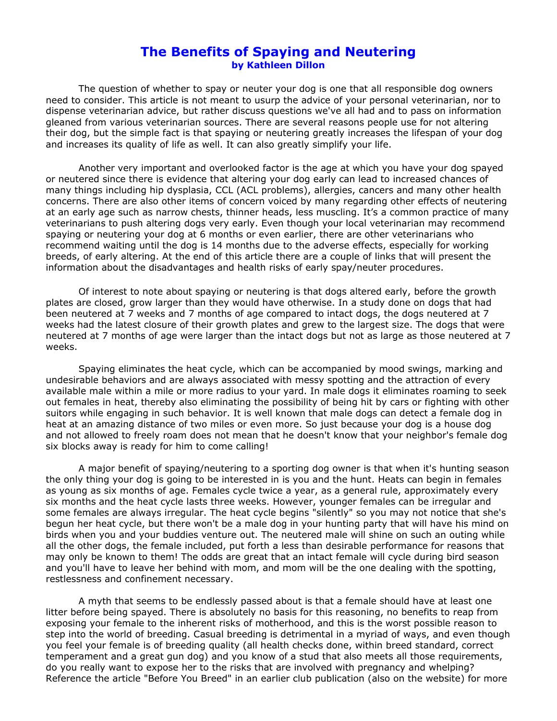## **The Benefits of Spaying and Neutering by Kathleen Dillon**

The question of whether to spay or neuter your dog is one that all responsible dog owners need to consider. This article is not meant to usurp the advice of your personal veterinarian, nor to dispense veterinarian advice, but rather discuss questions we've all had and to pass on information gleaned from various veterinarian sources. There are several reasons people use for not altering their dog, but the simple fact is that spaying or neutering greatly increases the lifespan of your dog and increases its quality of life as well. It can also greatly simplify your life.

Another very important and overlooked factor is the age at which you have your dog spayed or neutered since there is evidence that altering your dog early can lead to increased chances of many things including hip dysplasia, CCL (ACL problems), allergies, cancers and many other health concerns. There are also other items of concern voiced by many regarding other effects of neutering at an early age such as narrow chests, thinner heads, less muscling. It's a common practice of many veterinarians to push altering dogs very early. Even though your local veterinarian may recommend spaying or neutering your dog at 6 months or even earlier, there are other veterinarians who recommend waiting until the dog is 14 months due to the adverse effects, especially for working breeds, of early altering. At the end of this article there are a couple of links that will present the information about the disadvantages and health risks of early spay/neuter procedures.

Of interest to note about spaying or neutering is that dogs altered early, before the growth plates are closed, grow larger than they would have otherwise. In a study done on dogs that had been neutered at 7 weeks and 7 months of age compared to intact dogs, the dogs neutered at 7 weeks had the latest closure of their growth plates and grew to the largest size. The dogs that were neutered at 7 months of age were larger than the intact dogs but not as large as those neutered at 7 weeks.

 Spaying eliminates the heat cycle, which can be accompanied by mood swings, marking and undesirable behaviors and are always associated with messy spotting and the attraction of every available male within a mile or more radius to your yard. In male dogs it eliminates roaming to seek out females in heat, thereby also eliminating the possibility of being hit by cars or fighting with other suitors while engaging in such behavior. It is well known that male dogs can detect a female dog in heat at an amazing distance of two miles or even more. So just because your dog is a house dog and not allowed to freely roam does not mean that he doesn't know that your neighbor's female dog six blocks away is ready for him to come calling!

 A major benefit of spaying/neutering to a sporting dog owner is that when it's hunting season the only thing your dog is going to be interested in is you and the hunt. Heats can begin in females as young as six months of age. Females cycle twice a year, as a general rule, approximately every six months and the heat cycle lasts three weeks. However, younger females can be irregular and some females are always irregular. The heat cycle begins "silently" so you may not notice that she's begun her heat cycle, but there won't be a male dog in your hunting party that will have his mind on birds when you and your buddies venture out. The neutered male will shine on such an outing while all the other dogs, the female included, put forth a less than desirable performance for reasons that may only be known to them! The odds are great that an intact female will cycle during bird season and you'll have to leave her behind with mom, and mom will be the one dealing with the spotting, restlessness and confinement necessary.

 A myth that seems to be endlessly passed about is that a female should have at least one litter before being spayed. There is absolutely no basis for this reasoning, no benefits to reap from exposing your female to the inherent risks of motherhood, and this is the worst possible reason to step into the world of breeding. Casual breeding is detrimental in a myriad of ways, and even though you feel your female is of breeding quality (all health checks done, within breed standard, correct temperament and a great gun dog) and you know of a stud that also meets all those requirements, do you really want to expose her to the risks that are involved with pregnancy and whelping? Reference the article "Before You Breed" in an earlier club publication (also on the website) for more